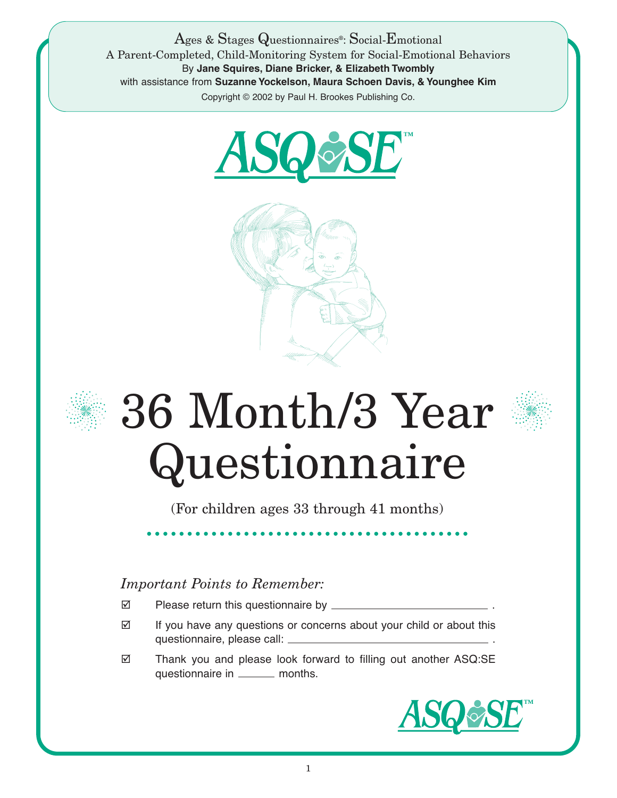Ages & Stages Questionnaires®: Social-Emotional A Parent-Completed, Child-Monitoring System for Social-Emotional Behaviors By **Jane Squires, Diane Bricker, & Elizabeth Twombly** with assistance from **Suzanne Yockelson, Maura Schoen Davis, & Younghee Kim** Copyright © 2002 by Paul H. Brookes Publishing Co.







## 36 Month/3 Year Questionnaire

(For children ages 33 through 41 months)

## *Important Points to Remember:*

- Please return this questionnaire by \_\_\_\_\_\_\_\_\_
- $\boxtimes$  If you have any questions or concerns about your child or about this questionnaire, please call: .
- Thank you and please look forward to filling out another ASQ:SE questionnaire in \_\_\_\_\_\_\_ months.

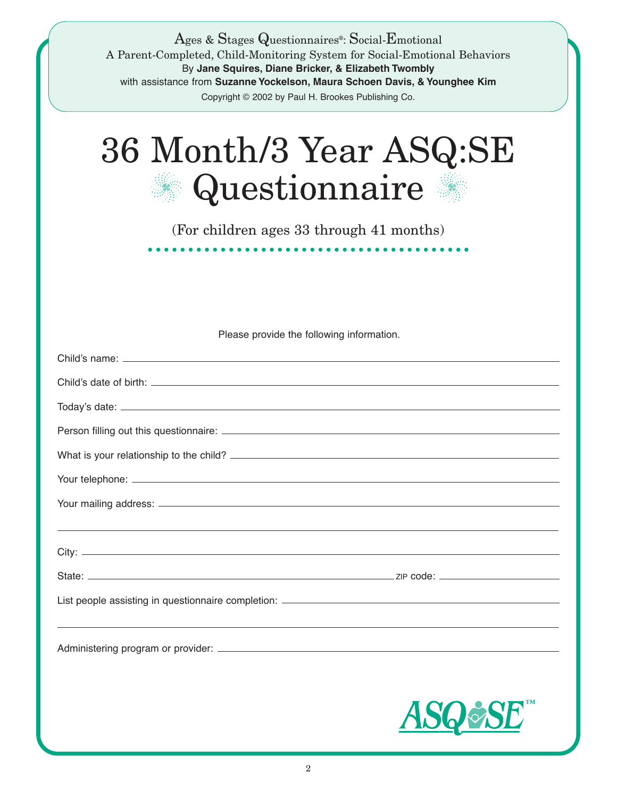| Ages & Stages Questionnaires <sup>®</sup> : Social-Emotional<br>A Parent-Completed, Child-Monitoring System for Social-Emotional Behaviors<br>By Jane Squires, Diane Bricker, & Elizabeth Twombly<br>with assistance from Suzanne Yockelson, Maura Schoen Davis, & Younghee Kim<br>Copyright © 2002 by Paul H. Brookes Publishing Co. |
|---------------------------------------------------------------------------------------------------------------------------------------------------------------------------------------------------------------------------------------------------------------------------------------------------------------------------------------|
| 36 Month/3 Year ASQ:SE<br>Questionnaire                                                                                                                                                                                                                                                                                               |
| (For children ages 33 through 41 months)                                                                                                                                                                                                                                                                                              |
|                                                                                                                                                                                                                                                                                                                                       |
|                                                                                                                                                                                                                                                                                                                                       |
| Please provide the following information.                                                                                                                                                                                                                                                                                             |
|                                                                                                                                                                                                                                                                                                                                       |
|                                                                                                                                                                                                                                                                                                                                       |
|                                                                                                                                                                                                                                                                                                                                       |
|                                                                                                                                                                                                                                                                                                                                       |
|                                                                                                                                                                                                                                                                                                                                       |
|                                                                                                                                                                                                                                                                                                                                       |
|                                                                                                                                                                                                                                                                                                                                       |
|                                                                                                                                                                                                                                                                                                                                       |
|                                                                                                                                                                                                                                                                                                                                       |
|                                                                                                                                                                                                                                                                                                                                       |
|                                                                                                                                                                                                                                                                                                                                       |
| <b>ASO&amp;SE</b>                                                                                                                                                                                                                                                                                                                     |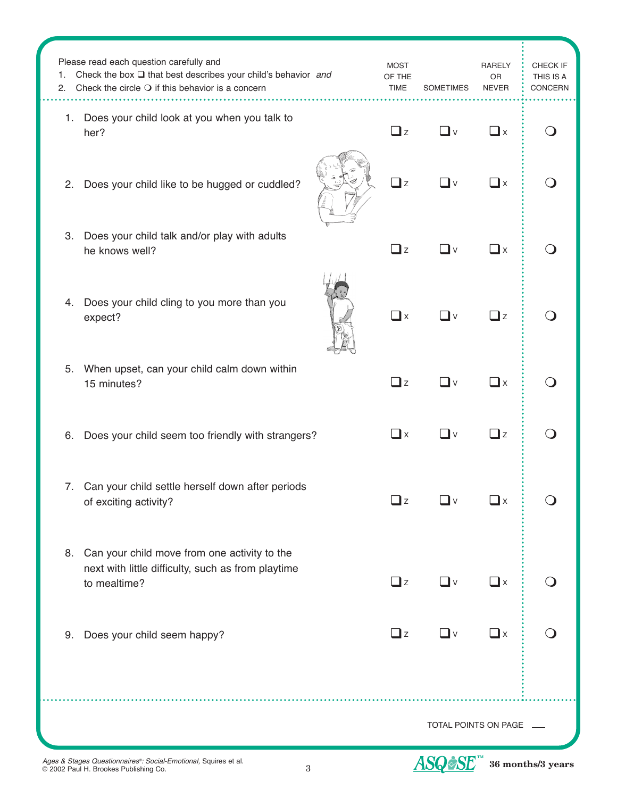| 1.<br>2. | Please read each question carefully and<br>Check the box $\square$ that best describes your child's behavior and<br>Check the circle $\bigcirc$ if this behavior is a concern | <b>MOST</b><br>OF THE<br><b>TIME</b> | <b>SOMETIMES</b>     | <b>RARELY</b><br>OR<br><b>NEVER</b> | CHECK IF<br>THIS IS A<br>CONCERN |
|----------|-------------------------------------------------------------------------------------------------------------------------------------------------------------------------------|--------------------------------------|----------------------|-------------------------------------|----------------------------------|
|          | 1. Does your child look at you when you talk to<br>her?                                                                                                                       | $\Box$ z                             | <b>⊥</b> ∨           | $\square$ x                         |                                  |
| 2.       | Does your child like to be hugged or cuddled?                                                                                                                                 | $\Box$ z                             | $\Box$ v             | $\square$ x                         |                                  |
| 3.       | Does your child talk and/or play with adults<br>he knows well?                                                                                                                | $\Box$ z                             | _l ∨                 | $\Box$ x                            |                                  |
| 4.       | Does your child cling to you more than you<br>expect?                                                                                                                         | $\Box$ x                             | $\mathsf{l} \vee$    | $\square$ z                         |                                  |
| 5.       | When upset, can your child calm down within<br>15 minutes?                                                                                                                    | $\Box$ z                             | _l v                 | $\Box$ x                            |                                  |
| 6.       | Does your child seem too friendly with strangers?                                                                                                                             | $\Box$ x                             | _l ∨                 | $\square$ z                         |                                  |
| 7.       | Can your child settle herself down after periods<br>of exciting activity?                                                                                                     | Qz                                   | _l ∨                 | $\square$ x                         |                                  |
| 8.       | Can your child move from one activity to the<br>next with little difficulty, such as from playtime<br>to mealtime?                                                            | $\Box$ z                             | ❏ⅴ                   | $\square$ x                         |                                  |
| 9.       | Does your child seem happy?                                                                                                                                                   | $\Box$ z                             | ◘∨                   | $\Box$ x                            |                                  |
|          |                                                                                                                                                                               |                                      |                      |                                     |                                  |
|          |                                                                                                                                                                               |                                      | TOTAL POINTS ON PAGE |                                     |                                  |

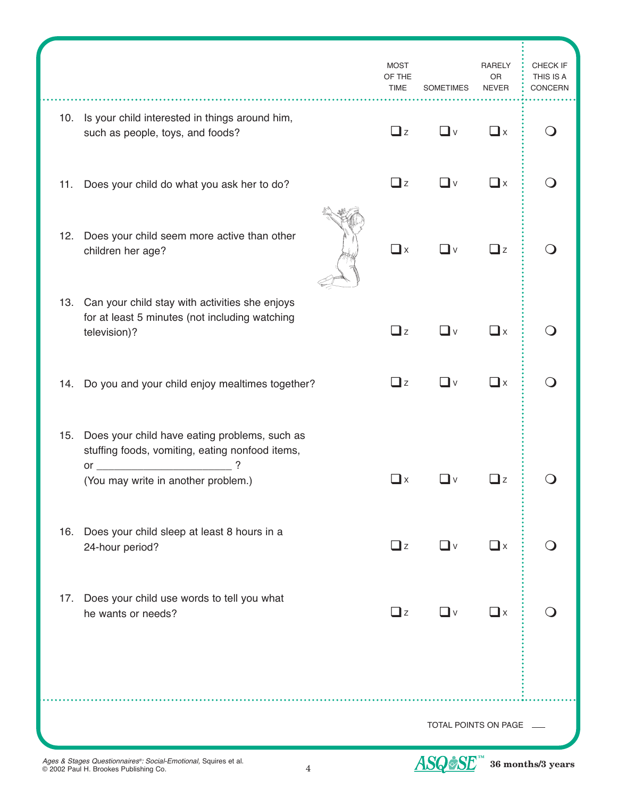|     |                                                                                                                      | <b>MOST</b><br>OF THE<br><b>TIME</b> | <b>SOMETIMES</b>     | <b>RARELY</b><br>OR<br><b>NEVER</b> | CHECK IF<br>THIS IS A<br>CONCERN |
|-----|----------------------------------------------------------------------------------------------------------------------|--------------------------------------|----------------------|-------------------------------------|----------------------------------|
|     | 10. Is your child interested in things around him,<br>such as people, toys, and foods?                               | $\Box$ z                             | ◘∨                   | $\square$ x                         |                                  |
| 11. | Does your child do what you ask her to do?                                                                           | $\Box$ z                             | $\square$ v          | $\square$ x                         |                                  |
| 12. | Does your child seem more active than other<br>children her age?                                                     | $\Box$ x                             | $\square$ v          | $\Box$ z                            |                                  |
|     | 13. Can your child stay with activities she enjoys<br>for at least 5 minutes (not including watching<br>television)? | $\Box$ z                             | $\square$ v          | $\Box$ x                            |                                  |
|     | 14. Do you and your child enjoy mealtimes together?                                                                  | $\Box$ z                             | $\square$ v          | $\Box$ x                            |                                  |
| 15. | Does your child have eating problems, such as<br>stuffing foods, vomiting, eating nonfood items,                     |                                      |                      |                                     |                                  |
|     | ?<br>$\mathsf{or} \hspace{0.5cm} \overline{\hspace{0.5cm} \hspace{0.5cm} }$<br>(You may write in another problem.)   | $\square$ x                          | <b>∟</b> ∨           | $\Box$ z                            |                                  |
| 16. | Does your child sleep at least 8 hours in a<br>24-hour period?                                                       | $\Box$ z                             | $\Box$ v             | $\Box$ x                            |                                  |
| 17. | Does your child use words to tell you what<br>he wants or needs?                                                     | $\Box$ z                             | $\Box$ v             | $\Box$ x                            |                                  |
|     |                                                                                                                      |                                      | TOTAL POINTS ON PAGE |                                     |                                  |

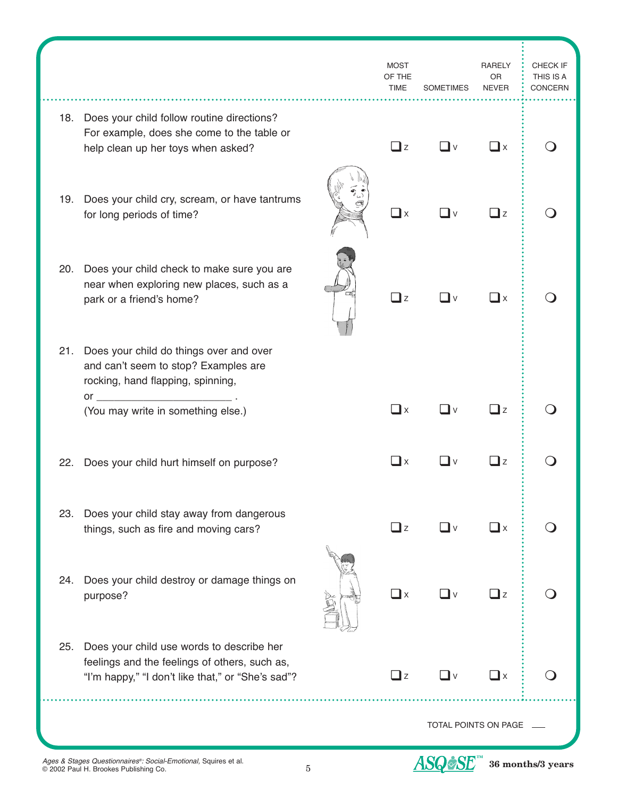|     |                                                                                                                                                 | <b>MOST</b><br>OF THE<br><b>TIME</b> | <b>SOMETIMES</b>     | <b>RARELY</b><br>0R<br><b>NEVER</b> | CHECK IF<br>THIS IS A<br><b>CONCERN</b> |
|-----|-------------------------------------------------------------------------------------------------------------------------------------------------|--------------------------------------|----------------------|-------------------------------------|-----------------------------------------|
| 18. | Does your child follow routine directions?<br>For example, does she come to the table or<br>help clean up her toys when asked?                  | $\Box$ z                             | ∟lv                  | $\Box$ x                            |                                         |
| 19. | Does your child cry, scream, or have tantrums<br>for long periods of time?                                                                      | $\square$ x                          | ∐ v                  | $\exists$ z                         |                                         |
| 20. | Does your child check to make sure you are<br>near when exploring new places, such as a<br>park or a friend's home?                             | $\Box$ z                             | ∟lv                  | $\mathbf{\perp}$ x                  |                                         |
| 21. | Does your child do things over and over<br>and can't seem to stop? Examples are<br>rocking, hand flapping, spinning,                            |                                      |                      |                                     |                                         |
|     | $or \fbox{---}$<br>(You may write in something else.)                                                                                           | $\square$ x                          | $\Box$ V             | $\exists$ z                         |                                         |
| 22. | Does your child hurt himself on purpose?                                                                                                        | $\square$ x                          | ∐ v                  | $\exists$ z                         |                                         |
| 23. | Does your child stay away from dangerous<br>things, such as fire and moving cars?                                                               | $\Box$ z                             | $\square$ v          | $\square$ x                         |                                         |
| 24. | Does your child destroy or damage things on<br>purpose?                                                                                         | $\square$ x                          | $\Box$ v             | $\Box$ z                            |                                         |
| 25. | Does your child use words to describe her<br>feelings and the feelings of others, such as,<br>"I'm happy," "I don't like that," or "She's sad"? | $\exists$ z                          | ◘∨                   | $\mathbf{r}$                        |                                         |
|     |                                                                                                                                                 |                                      | TOTAL POINTS ON PAGE |                                     |                                         |

5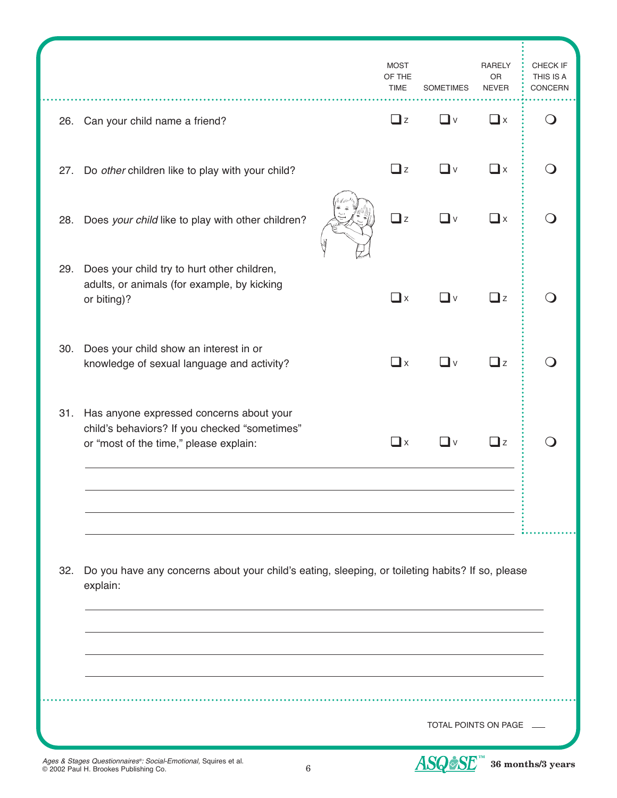|     |                                                                                                                                         | <b>MOST</b><br>OF THE<br><b>TIME</b> | <b>SOMETIMES</b>     | <b>RARELY</b><br>OR<br><b>NEVER</b> | CHECK IF<br>THIS IS A<br>CONCERN |
|-----|-----------------------------------------------------------------------------------------------------------------------------------------|--------------------------------------|----------------------|-------------------------------------|----------------------------------|
|     | 26. Can your child name a friend?                                                                                                       | $\Box$ z                             | $\Box$ v             | $\square$ x                         |                                  |
| 27. | Do other children like to play with your child?                                                                                         | $\Box$ z                             | _l v                 | $\Box$ x                            |                                  |
| 28. | Does your child like to play with other children?                                                                                       | $\Box$ z                             | _l ∨                 | $\mathbf{a}$                        |                                  |
| 29. | Does your child try to hurt other children,<br>adults, or animals (for example, by kicking<br>or biting)?                               | $\Box$ x                             | _l v                 | $\Box$ z                            |                                  |
| 30. | Does your child show an interest in or<br>knowledge of sexual language and activity?                                                    | $\Box$ x                             | l v                  | $\exists$ z                         |                                  |
|     | 31. Has anyone expressed concerns about your<br>child's behaviors? If you checked "sometimes"<br>or "most of the time," please explain: | $\Box$ x                             | l v                  | $\mathbf{I}$ z                      |                                  |
| 32. | Do you have any concerns about your child's eating, sleeping, or toileting habits? If so, please<br>explain:                            |                                      |                      |                                     |                                  |
|     |                                                                                                                                         |                                      | TOTAL POINTS ON PAGE |                                     |                                  |